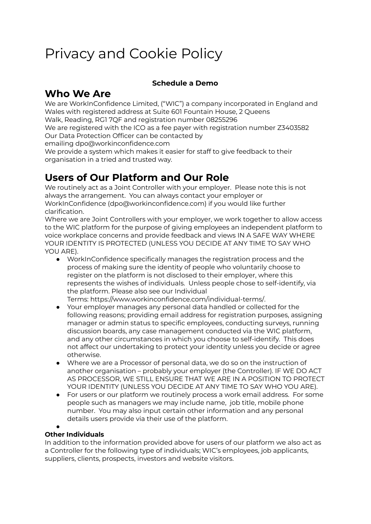# Privacy and Cookie Policy

### **Schedule a Demo**

## **Who We Are**

We are WorkInConfidence Limited, ("WIC") a company incorporated in England and Wales with registered address at Suite 601 Fountain House, 2 Queens

Walk, Reading, RG1 7QF and registration number 08255296

We are registered with the ICO as a fee payer with registration number Z3403582 Our Data Protection Officer can be contacted by

emailing [dpo@workinconfidence.com](mailto:dpo@workinconfidence.com)

We provide a system which makes it easier for staff to give feedback to their organisation in a tried and trusted way.

## **Users of Our Platform and Our Role**

We routinely act as a Joint Controller with your employer. Please note this is not always the arrangement. You can always contact your employer or WorkInConfidence (dpo@workinconfidence.com) if you would like further clarification.

Where we are Joint Controllers with your employer, we work together to allow access to the WIC platform for the purpose of giving employees an independent platform to voice workplace concerns and provide feedback and views IN A SAFE WAY WHERE YOUR IDENTITY IS PROTECTED (UNLESS YOU DECIDE AT ANY TIME TO SAY WHO YOU ARE).

● WorkInConfidence specifically manages the registration process and the process of making sure the identity of people who voluntarily choose to register on the platform is not disclosed to their employer, where this represents the wishes of individuals. Unless people chose to self-identify, via the platform. Please also see our Individual

Terms: [https://www.workinconfidence.com/individual-terms/.](https://www.workinconfidence.com/individual-terms/)

- Your employer manages any personal data handled or collected for the following reasons; providing email address for registration purposes, assigning manager or admin status to specific employees, conducting surveys, running discussion boards, any case management conducted via the WIC platform, and any other circumstances in which you choose to self-identify. This does not affect our undertaking to protect your identity unless you decide or agree otherwise.
- Where we are a Processor of personal data, we do so on the instruction of another organisation – probably your employer (the Controller). IF WE DO ACT AS PROCESSOR, WE STILL ENSURE THAT WE ARE IN A POSITION TO PROTECT YOUR IDENTITY (UNLESS YOU DECIDE AT ANY TIME TO SAY WHO YOU ARE).
- For users or our platform we routinely process a work email address. For some people such as managers we may include name, job title, mobile phone number. You may also input certain other information and any personal details users provide via their use of the platform.

#### ● **Other Individuals**

In addition to the information provided above for users of our platform we also act as a Controller for the following type of individuals; WIC's employees, job applicants, suppliers, clients, prospects, investors and website visitors.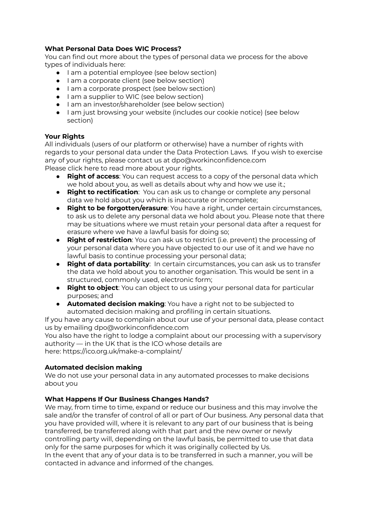#### **What Personal Data Does WIC Process?**

You can find out more about the types of personal data we process for the above types of individuals here:

- I am a potential employee (see below section)
- I am a corporate client (see below section)
- I am a corporate prospect (see below section)
- I am a supplier to WIC (see below section)
- I am an investor/shareholder (see below section)
- I am just browsing your website (includes our cookie notice) (see below section)

#### **Your Rights**

All individuals (users of our platform or otherwise) have a number of rights with regards to your personal data under the Data Protection Laws. If you wish to exercise any of your rights, please contact us at dpo@workinconfidence.com Please click [here](https://ico.org.uk/for-organisations/guide-to-data-protection/guide-to-the-general-data-protection-regulation-gdpr/individual-rights/) to read more about your rights.

- **Right of access**: You can request access to a copy of the personal data which we hold about you, as well as details about why and how we use it.;
- **Right to rectification**: You can ask us to change or complete any personal data we hold about you which is inaccurate or incomplete;
- **Right to be forgotten/erasure**: You have a right, under certain circumstances, to ask us to delete any personal data we hold about you. Please note that there may be situations where we must retain your personal data after a request for erasure where we have a lawful basis for doing so;
- **Right of restriction**: You can ask us to restrict (i.e. prevent) the processing of your personal data where you have objected to our use of it and we have no lawful basis to continue processing your personal data;
- **Right of data portability**: In certain circumstances, you can ask us to transfer the data we hold about you to another organisation. This would be sent in a structured, commonly used, electronic form;
- **Right to object**: You can object to us using your personal data for particular purposes; and
- **Automated decision making**: You have a right not to be subjected to automated decision making and profiling in certain situations.

If you have any cause to complain about our use of your personal data, please contact us by emailing dpo@workinconfidence.com

You also have the right to lodge a complaint about our processing with a supervisory authority — in the UK that is the ICO whose details are here: <https://ico.org.uk/make-a-complaint/>

#### **Automated decision making**

We do not use your personal data in any automated processes to make decisions about you

#### **What Happens If Our Business Changes Hands?**

We may, from time to time, expand or reduce our business and this may involve the sale and/or the transfer of control of all or part of Our business. Any personal data that you have provided will, where it is relevant to any part of our business that is being transferred, be transferred along with that part and the new owner or newly controlling party will, depending on the lawful basis, be permitted to use that data only for the same purposes for which it was originally collected by Us. In the event that any of your data is to be transferred in such a manner, you will be contacted in advance and informed of the changes.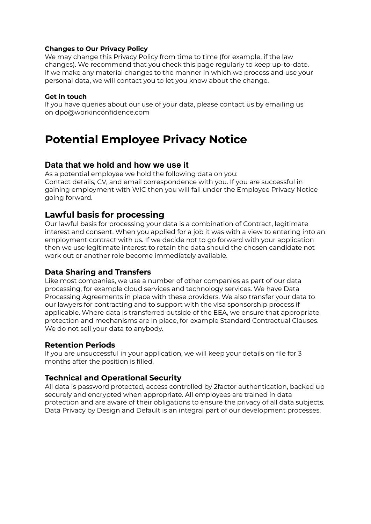#### **Changes to Our Privacy Policy**

We may change this Privacy Policy from time to time (for example, if the law changes). We recommend that you check this page regularly to keep up-to-date. If we make any material changes to the manner in which we process and use your personal data, we will contact you to let you know about the change.

#### **Get in touch**

If you have queries about our use of your data, please contact us by emailing us on [dpo@workinconfidence.com](mailto:dpo@workinconfidence.com)

## **Potential Employee Privacy Notice**

#### **Data that we hold and how we use it**

As a potential employee we hold the following data on you: Contact details, CV, and email correspondence with you. If you are successful in gaining employment with WIC then you will fall under the Employee Privacy Notice going forward.

### **Lawful basis for processing**

Our lawful basis for processing your data is a combination of Contract, legitimate interest and consent. When you applied for a job it was with a view to entering into an employment contract with us. If we decide not to go forward with your application then we use legitimate interest to retain the data should the chosen candidate not work out or another role become immediately available.

#### **Data Sharing and Transfers**

Like most companies, we use a number of other companies as part of our data processing, for example cloud services and technology services. We have Data Processing Agreements in place with these providers. We also transfer your data to our lawyers for contracting and to support with the visa sponsorship process if applicable. Where data is transferred outside of the EEA, we ensure that appropriate protection and mechanisms are in place, for example Standard Contractual Clauses. We do not sell your data to anybody.

#### **Retention Periods**

If you are unsuccessful in your application, we will keep your details on file for 3 months after the position is filled.

#### **Technical and Operational Security**

All data is password protected, access controlled by 2factor authentication, backed up securely and encrypted when appropriate. All employees are trained in data protection and are aware of their obligations to ensure the privacy of all data subjects. Data Privacy by Design and Default is an integral part of our development processes.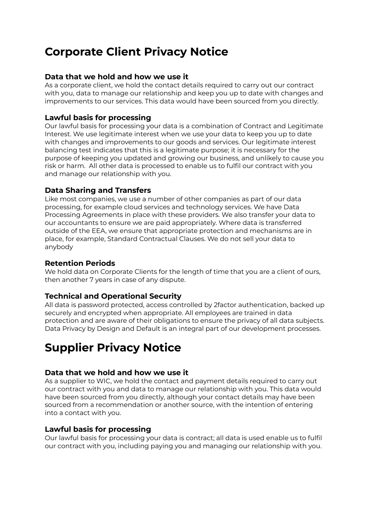## **Corporate Client Privacy Notice**

#### **Data that we hold and how we use it**

As a corporate client, we hold the contact details required to carry out our contract with you, data to manage our relationship and keep you up to date with changes and improvements to our services. This data would have been sourced from you directly.

#### **Lawful basis for processing**

Our lawful basis for processing your data is a combination of Contract and Legitimate Interest. We use legitimate interest when we use your data to keep you up to date with changes and improvements to our goods and services. Our legitimate interest balancing test indicates that this is a legitimate purpose; it is necessary for the purpose of keeping you updated and growing our business, and unlikely to cause you risk or harm. All other data is processed to enable us to fulfil our contract with you and manage our relationship with you.

#### **Data Sharing and Transfers**

Like most companies, we use a number of other companies as part of our data processing, for example cloud services and technology services. We have Data Processing Agreements in place with these providers. We also transfer your data to our accountants to ensure we are paid appropriately. Where data is transferred outside of the EEA, we ensure that appropriate protection and mechanisms are in place, for example, Standard Contractual Clauses. We do not sell your data to anybody

#### **Retention Periods**

We hold data on Corporate Clients for the length of time that you are a client of ours, then another 7 years in case of any dispute.

### **Technical and Operational Security**

All data is password protected, access controlled by 2factor authentication, backed up securely and encrypted when appropriate. All employees are trained in data protection and are aware of their obligations to ensure the privacy of all data subjects. Data Privacy by Design and Default is an integral part of our development processes.

## **Supplier Privacy Notice**

#### **Data that we hold and how we use it**

As a supplier to WIC, we hold the contact and payment details required to carry out our contract with you and data to manage our relationship with you. This data would have been sourced from you directly, although your contact details may have been sourced from a recommendation or another source, with the intention of entering into a contact with you.

#### **Lawful basis for processing**

Our lawful basis for processing your data is contract; all data is used enable us to fulfil our contract with you, including paying you and managing our relationship with you.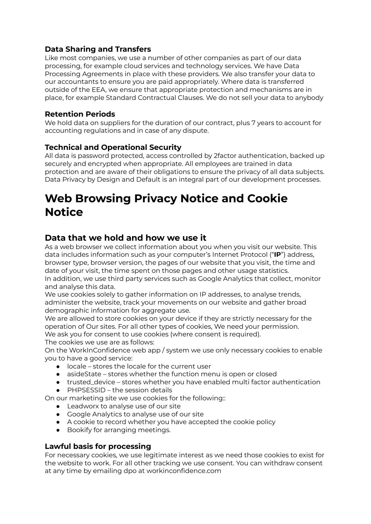### **Data Sharing and Transfers**

Like most companies, we use a number of other companies as part of our data processing, for example cloud services and technology services. We have Data Processing Agreements in place with these providers. We also transfer your data to our accountants to ensure you are paid appropriately. Where data is transferred outside of the EEA, we ensure that appropriate protection and mechanisms are in place, for example Standard Contractual Clauses. We do not sell your data to anybody

### **Retention Periods**

We hold data on suppliers for the duration of our contract, plus 7 years to account for accounting regulations and in case of any dispute.

### **Technical and Operational Security**

All data is password protected, access controlled by 2factor authentication, backed up securely and encrypted when appropriate. All employees are trained in data protection and are aware of their obligations to ensure the privacy of all data subjects. Data Privacy by Design and Default is an integral part of our development processes.

## **Web Browsing Privacy Notice and Cookie Notice**

## **Data that we hold and how we use it**

As a web browser we collect information about you when you visit our website. This data includes information such as your computer's Internet Protocol ("**IP**") address, browser type, browser version, the pages of our website that you visit, the time and date of your visit, the time spent on those pages and other usage statistics. In addition, we use third party services such as Google Analytics that collect, monitor and analyse this data.

We use cookies solely to gather information on IP addresses, to analyse trends, administer the website, track your movements on our website and gather broad demographic information for aggregate use.

We are allowed to store cookies on your device if they are strictly necessary for the operation of Our sites. For all other types of cookies, We need your permission. We ask you for consent to use cookies (where consent is required).

The cookies we use are as follows:

On the WorkInConfidence web app / system we use only necessary cookies to enable you to have a good service:

- locale stores the locale for the current user
- asideState stores whether the function menu is open or closed
- trusted\_device stores whether you have enabled multi factor authentication
- $\bullet$  PHPSESSID the session details

On our marketing site we use cookies for the following::

- Leadworx to analyse use of our site
- Google Analytics to analyse use of our site
- A cookie to record whether you have accepted the cookie policy
- Bookify for arranging meetings.

#### **Lawful basis for processing**

For necessary cookies, we use legitimate interest as we need those cookies to exist for the website to work. For all other tracking we use consent. You can withdraw consent at any time by emailing dpo at workinconfidence.com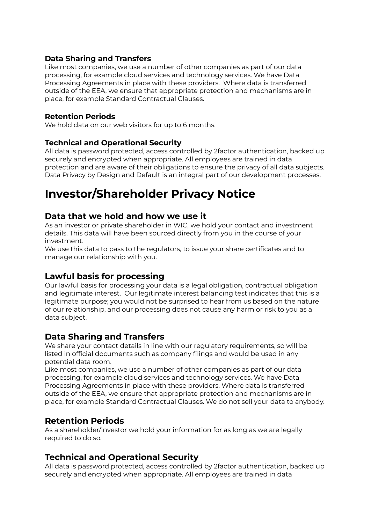#### **Data Sharing and Transfers**

Like most companies, we use a number of other companies as part of our data processing, for example cloud services and technology services. We have Data Processing Agreements in place with these providers. Where data is transferred outside of the EEA, we ensure that appropriate protection and mechanisms are in place, for example Standard Contractual Clauses.

#### **Retention Periods**

We hold data on our web visitors for up to 6 months.

### **Technical and Operational Security**

All data is password protected, access controlled by 2factor authentication, backed up securely and encrypted when appropriate. All employees are trained in data protection and are aware of their obligations to ensure the privacy of all data subjects. Data Privacy by Design and Default is an integral part of our development processes.

## **Investor/Shareholder Privacy Notice**

### **Data that we hold and how we use it**

As an investor or private shareholder in WIC, we hold your contact and investment details. This data will have been sourced directly from you in the course of your investment.

We use this data to pass to the regulators, to issue your share certificates and to manage our relationship with you.

## **Lawful basis for processing**

Our lawful basis for processing your data is a legal obligation, contractual obligation and legitimate interest. Our legitimate interest balancing test indicates that this is a legitimate purpose; you would not be surprised to hear from us based on the nature of our relationship, and our processing does not cause any harm or risk to you as a data subject.

## **Data Sharing and Transfers**

We share your contact details in line with our regulatory requirements, so will be listed in official documents such as company filings and would be used in any potential data room.

Like most companies, we use a number of other companies as part of our data processing, for example cloud services and technology services. We have Data Processing Agreements in place with these providers. Where data is transferred outside of the EEA, we ensure that appropriate protection and mechanisms are in place, for example Standard Contractual Clauses. We do not sell your data to anybody.

## **Retention Periods**

As a shareholder/investor we hold your information for as long as we are legally required to do so.

## **Technical and Operational Security**

All data is password protected, access controlled by 2factor authentication, backed up securely and encrypted when appropriate. All employees are trained in data